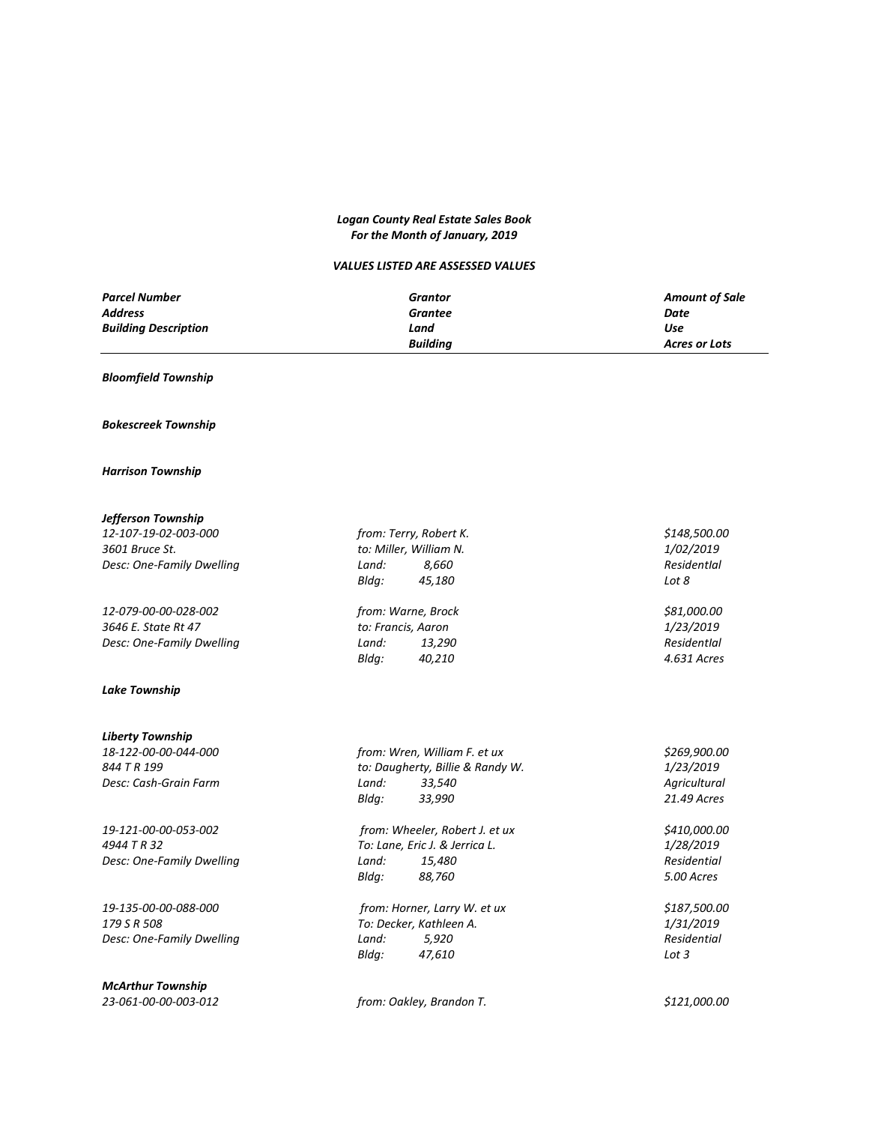### *Logan County Real Estate Sales Book For the Month of January, 2019*

### *VALUES LISTED ARE ASSESSED VALUES*

| <b>Parcel Number</b>        | Grantor         | <b>Amount of Sale</b> |
|-----------------------------|-----------------|-----------------------|
| <b>Address</b>              | Grantee         | Date                  |
| <b>Building Description</b> | Land            | Use                   |
|                             | <b>Building</b> | Acres or Lots         |

### *Bloomfield Township*

### *Bokescreek Township*

#### *Harrison Township*

### *Jefferson Township*

*12-107-19-02-003-000 from: Terry, Robert K. \$148,500.00 3601 Bruce St. to: Miller, William N. 1/02/2019 Desc: One-Family Dwelling Land: 8,660 ResidentIal*

*12-079-00-00-028-002 from: Warne, Brock \$81,000.00 3646 E. State Rt 47 to: Francis, Aaron 1/23/2019 Desc: One-Family Dwelling Land:* 13,290

### *Lake Township*

## *Liberty Township*

*4944 T R 32 To: Lane, Eric J. & Jerrica L. 1/28/2019*

*19-135-00-00-088-000 from: Horner, Larry W. et ux \$187,500.00*

*McArthur Township*

| from: Terry, Robert K. |                        | \$148 |
|------------------------|------------------------|-------|
|                        | to: Miller. William N. | 1/02  |
| Land:                  | 8.660                  | Resic |
| Blda:                  | 45.180                 | Lot 8 |

*Bldg: 40,210 4.631 Acres*

*844 T R 199 to: Daugherty, Billie & Randy W. 1/23/2019 Desc: Cash-Grain Farm Land: 33,540 Agricultural Bldg: 33,990 21.49 Acres 19-121-00-00-053-002 from: Wheeler, Robert J. et ux \$410,000.00*

*Desc: One-Family Dwelling Land: 15,480 Residential Bldg: 88,760 5.00 Acres*

*179 S R 508 To: Decker, Kathleen A. 1/31/2019 Desc: One-Family Dwelling Land: 5,920 Residential Bldg: 47,610 Lot 3*

*23-061-00-00-003-012 from: Oakley, Brandon T. \$121,000.00*

*18-122-00-00-044-000 from: Wren, William F. et ux \$269,900.00*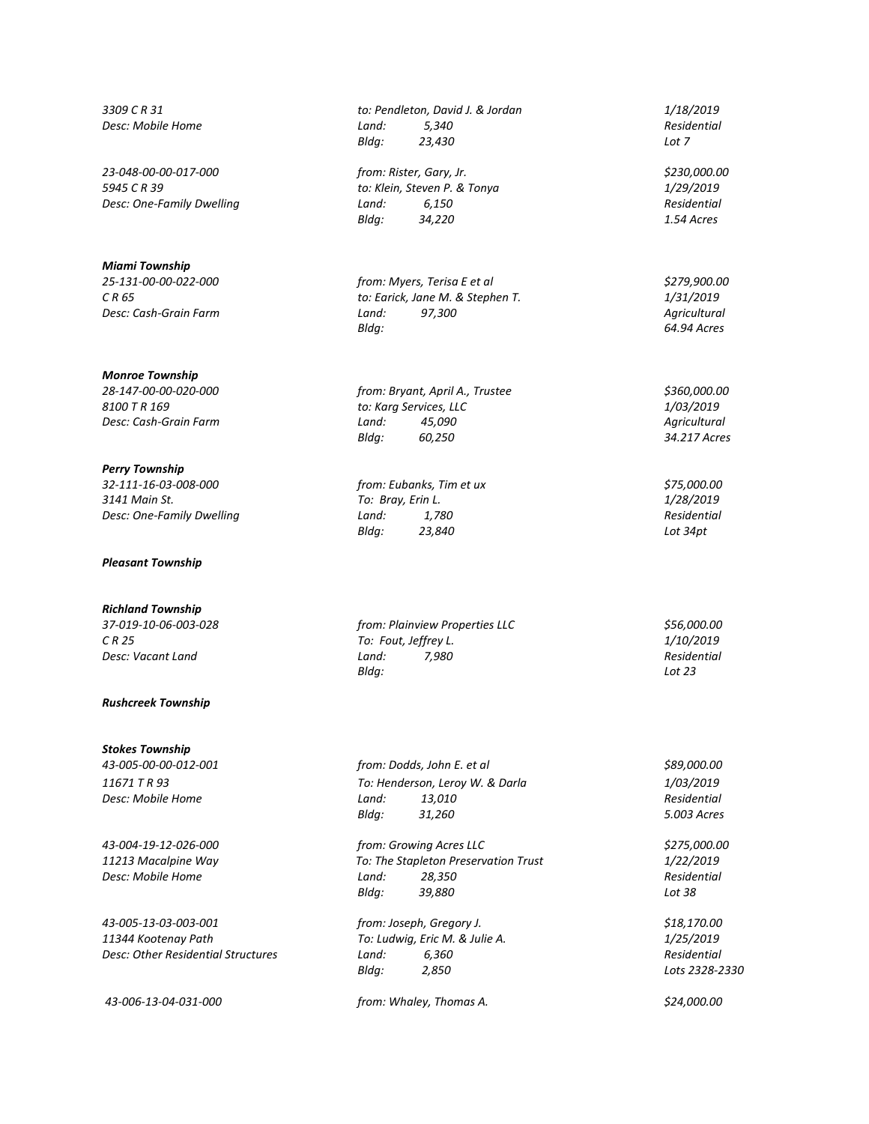**Desc: Mobile Home** *Land:* 5,340

*23-048-00-00-017-000 from: Rister, Gary, Jr. \$230,000.00*

*Miami Township*

*Monroe Township*

*Perry Township 32-111-16-03-008-000 from: Eubanks, Tim et ux \$75,000.00 Desc: One-Family Dwelling Land:* 1,780

*Pleasant Township*

# *Richland Township*

### *Rushcreek Township*

## *Stokes Township*

*43-005-13-03-003-001 from: Joseph, Gregory J. \$18,170.00 11344 Kootenay Path To: Ludwig, Eric M. & Julie A. 1/25/2019 Desc: Other Residential Structures Land: 6,360 Residential*

*3309 C R 31 to: Pendleton, David J. & Jordan 1/18/2019 Bldg: 23,430 Lot 7*

*5945 C R 39 to: Klein, Steven P. & Tonya 1/29/2019 Desc: One-Family Dwelling Land:* 6,150 *Bldg:* 34,220 *Bldg: 34,220 1.54 Acres*

*25-131-00-00-022-000 from: Myers, Terisa E et al \$279,900.00 C R 65 to: Earick, Jane M. & Stephen T. 1/31/2019 Desc: Cash-Grain Farm Land: 97,300 Agricultural Bldg: 64.94 Acres*

*28-147-00-00-020-000 from: Bryant, April A., Trustee \$360,000.00 8100 T R 169 to: Karg Services, LLC 1/03/2019 Desc: Cash-Grain Farm Land: 45,090 Agricultural Bldg: 60,250 34.217 Acres*

> *3141 Main St. To: Bray, Erin L. 1/28/2019 Bldg: 23,840 Lot 34pt*

*37-019-10-06-003-028 from: Plainview Properties LLC \$56,000.00 C R 25 To: Fout, Jeffrey L. 1/10/2019 Desc: Vacant Land Land: 7,980 Residential Bldg: Lot 23*

*43-005-00-00-012-001 from: Dodds, John E. et al \$89,000.00 11671 T R 93 To: Henderson, Leroy W. & Darla 1/03/2019 Desc: Mobile Home Land: 13,010 Residential Bldg: 31,260 5.003 Acres*

*43-004-19-12-026-000 from: Growing Acres LLC \$275,000.00 11213 Macalpine Way To: The Stapleton Preservation Trust 1/22/2019 Desc: Mobile Home Land: 28,350 Residential Bldg: 39,880 Lot 38*

*Bldg: 2,850 Lots 2328-2330*

*43-006-13-04-031-000 from: Whaley, Thomas A. \$24,000.00*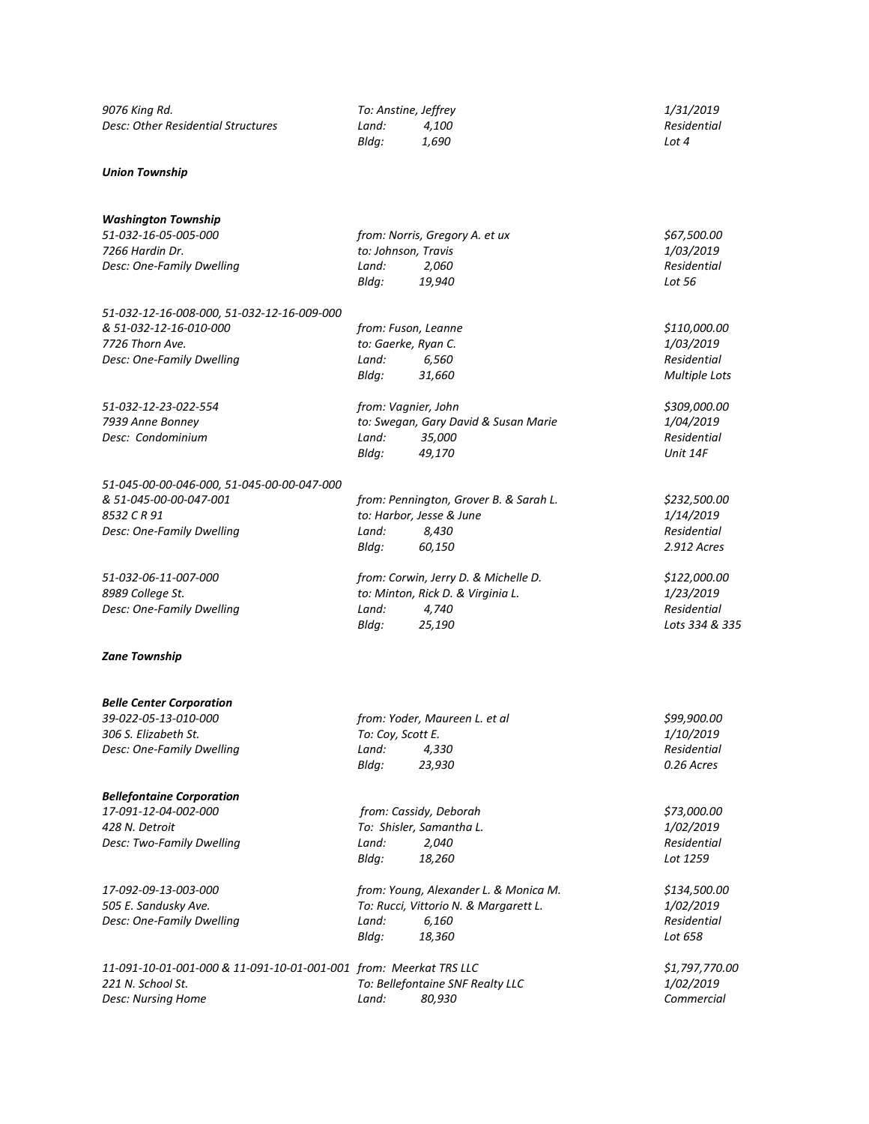| 9076 King Rd.                      | To: Anstine, Jeffrey |       | 1/31/2019   |  |
|------------------------------------|----------------------|-------|-------------|--|
| Desc: Other Residential Structures | Land:                | 4.100 | Residential |  |
|                                    | Blda:                | 1.690 | Lot 4       |  |
| Union Township                     |                      |       |             |  |

*Washington Township*

### *51-032-16-05-005-000 from: Norris, Gregory A. et ux \$67,500.00 7266 Hardin Dr. to: Johnson, Travis 1/03/2019 Desc: One-Family Dwelling Land: 2,060 Residential Bldg: 19,940 Lot 56 51-032-12-16-008-000, 51-032-12-16-009-000 & 51-032-12-16-010-000 from: Fuson, Leanne \$110,000.00 7726 Thorn Ave. to: Gaerke, Ryan C. 1/03/2019 Desc: One-Family Dwelling Land: 6,560 Residential Bldg: 31,660 Multiple Lots 51-032-12-23-022-554 from: Vagnier, John \$309,000.00 7939 Anne Bonney to: Swegan, Gary David & Susan Marie 1/04/2019 Desc: Condominium Land: 35,000 Residential Bldg: 49,170 Unit 14F 51-045-00-00-046-000, 51-045-00-00-047-000 & 51-045-00-00-047-001 from: Pennington, Grover B. & Sarah L. \$232,500.00 8532 C R 91 to: Harbor, Jesse & June 1/14/2019 Desc: One-Family Dwelling Land: 8,430 Residential Bldg: 60,150 2.912 Acres 51-032-06-11-007-000 from: Corwin, Jerry D. & Michelle D. \$122,000.00 8989 College St. to: Minton, Rick D. & Virginia L. 1/23/2019 Desc: One-Family Dwelling Land: 4,740 Bldg: 25,190 Lots 334 & 335 Zane Township Belle Center Corporation 39-022-05-13-010-000 from: Yoder, Maureen L. et al \$99,900.00 306 S. Elizabeth St. To: Coy, Scott E. 1/10/2019 Desc: One-Family Dwelling Land: 4,330 Residential Bldg: 23,930 0.26 Acres Bellefontaine Corporation 17-091-12-04-002-000 from: Cassidy, Deborah \$73,000.00 428 N. Detroit To: Shisler, Samantha L. 1/02/2019 Desc: Two-Family Dwelling Land: 2,040 Residential Bldg: 18,260 Lot 1259 17-092-09-13-003-000 from: Young, Alexander L. & Monica M. \$134,500.00*

*Bldg: 18,360 Lot 658 11-091-10-01-001-000 & 11-091-10-01-001-001 from: Meerkat TRS LLC \$1,797,770.00 221 N. School St. To: Bellefontaine SNF Realty LLC 1/02/2019 Desc: Nursing Home Land: 80,930 Commercial*

*505 E. Sandusky Ave. To: Rucci, Vittorio N. & Margarett L. 1/02/2019 Desc: One-Family Dwelling Land: 6,160 Residential*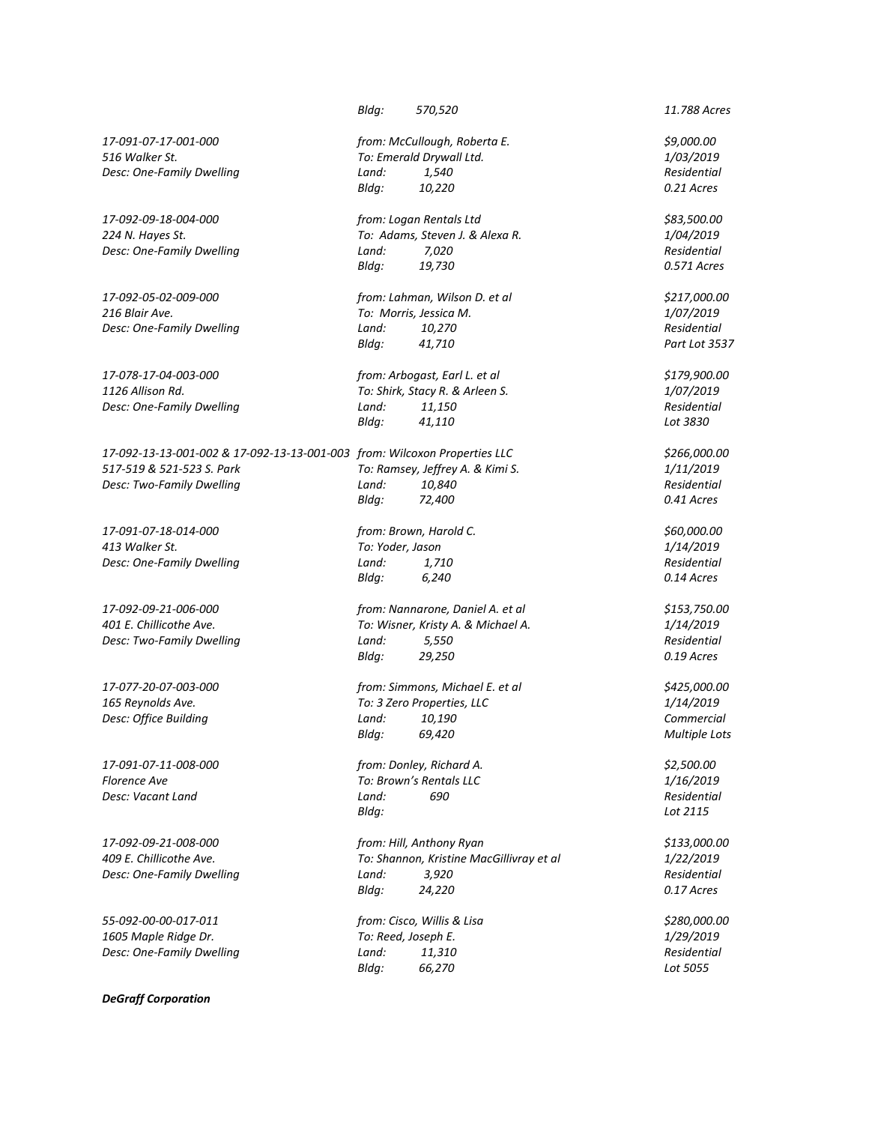*Desc: One-Family Dwelling Land: 11,150* 

*17-092-13-13-001-002 & 17-092-13-13-001-003 from: Wilcoxon Properties LLC \$266,000.00 517-519 & 521-523 S. Park To: Ramsey, Jeffrey A. & Kimi S. 1/11/2019 Desc: Two-Family Dwelling Land: 10,840* 

**Desc: Vacant Land** *Land: Land:* 

*55-092-00-00-017-011 from: Cisco, Willis & Lisa \$280,000.00 1605 Maple Ridge Dr. To: Reed, Joseph E. 1/29/2019*

*DeGraff Corporation*

*Bldg: 570,520 11.788 Acres 17-091-07-17-001-000 from: McCullough, Roberta E. \$9,000.00 516 Walker St. To: Emerald Drywall Ltd. 1/03/2019 Desc: One-Family Dwelling Land: 1,540 Residential Bldg: 10,220 0.21 Acres 17-092-09-18-004-000 from: Logan Rentals Ltd \$83,500.00 224 N. Hayes St. To: Adams, Steven J. & Alexa R. 1/04/2019 Desc: One-Family Dwelling Land: 7,020 Residential Bldg: 19,730 0.571 Acres 17-092-05-02-009-000 from: Lahman, Wilson D. et al \$217,000.00 216 Blair Ave. To: Morris, Jessica M. 1/07/2019 Desc: One-Family Dwelling Land: 10,270 Residential Bldg: 41,710 Part Lot 3537 17-078-17-04-003-000 from: Arbogast, Earl L. et al \$179,900.00 1126 Allison Rd. To: Shirk, Stacy R. & Arleen S. 1/07/2019 Bldg: 41,110 Lot 3830 Bldg: 72,400 0.41 Acres 17-091-07-18-014-000 from: Brown, Harold C. \$60,000.00 413 Walker St. To: Yoder, Jason 1/14/2019 Desc: One-Family Dwelling Land: 1,710 Residential Bldg: 6,240 0.14 Acres 17-092-09-21-006-000 from: Nannarone, Daniel A. et al \$153,750.00 401 E. Chillicothe Ave. To: Wisner, Kristy A. & Michael A. 1/14/2019 Desc: Two-Family Dwelling Land: 5,550 Residential Bldg: 29,250 0.19 Acres*

*17-077-20-07-003-000 from: Simmons, Michael E. et al \$425,000.00 165 Reynolds Ave. To: 3 Zero Properties, LLC 1/14/2019 Desc: Office Building Land: 10,190 Commercial Bldg: 69,420 Multiple Lots*

*17-091-07-11-008-000 from: Donley, Richard A. \$2,500.00 Florence Ave To: Brown's Rentals LLC 1/16/2019 Bldg: Lot 2115*

*17-092-09-21-008-000 from: Hill, Anthony Ryan \$133,000.00 409 E. Chillicothe Ave. To: Shannon, Kristine MacGillivray et al 1/22/2019 Desc: One-Family Dwelling Land: 3,920 Residential Bldg: 24,220 0.17 Acres*

*Desc: One-Family Dwelling Land: 11,310 Residential Bldg: 66,270 Lot 5055*